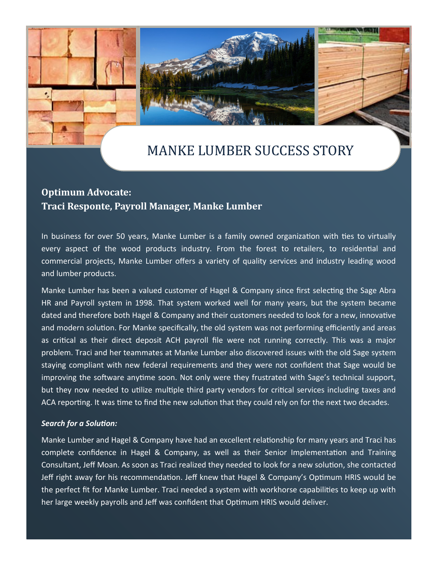



## **Optimum Advocate: Traci Responte, Payroll Manager, Manke Lumber**

In business for over 50 years, Manke Lumber is a family owned organization with ties to virtually every aspect of the wood products industry. From the forest to retailers, to residential and commercial projects, Manke Lumber offers a variety of quality services and industry leading wood and lumber products.

Manke Lumber has been a valued customer of Hagel & Company since first selecting the Sage Abra HR and Payroll system in 1998. That system worked well for many years, but the system became dated and therefore both Hagel & Company and their customers needed to look for a new, innovative and modern solution. For Manke specifically, the old system was not performing efficiently and areas as critical as their direct deposit ACH payroll file were not running correctly. This was a major problem. Traci and her teammates at Manke Lumber also discovered issues with the old Sage system staying compliant with new federal requirements and they were not confident that Sage would be improving the software anytime soon. Not only were they frustrated with Sage's technical support, but they now needed to utilize multiple third party vendors for critical services including taxes and ACA reporting. It was time to find the new solution that they could rely on for the next two decades.

## *Search for a Solution:*

Manke Lumber and Hagel & Company have had an excellent relationship for many years and Traci has complete confidence in Hagel & Company, as well as their Senior Implementation and Training Consultant, Jeff Moan. As soon as Traci realized they needed to look for a new solution, she contacted Jeff right away for his recommendation. Jeff knew that Hagel & Company's Optimum HRIS would be the perfect fit for Manke Lumber. Traci needed a system with workhorse capabilities to keep up with her large weekly payrolls and Jeff was confident that Optimum HRIS would deliver.